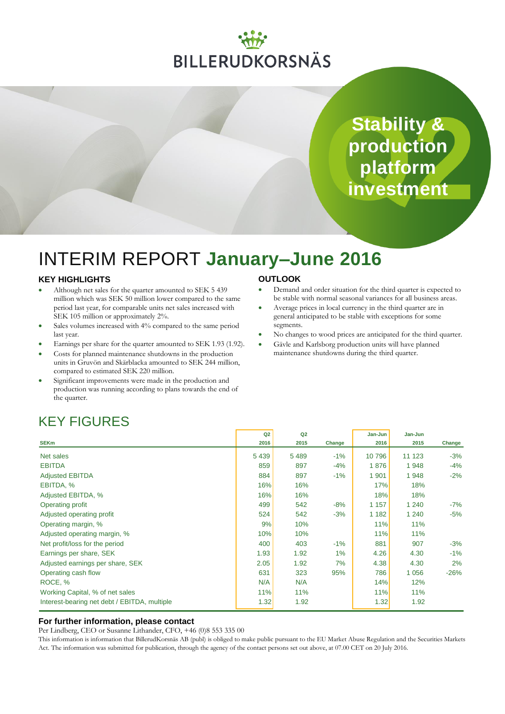# **BILLERUDKORSNÄS**

**Stability & production platform investment**

# INTERIM REPORT **January–June 2016**

### **KEY HIGHLIGHTS**

- Although net sales for the quarter amounted to SEK 5 439 million which was SEK 50 million lower compared to the same period last year, for comparable units net sales increased with SEK 105 million or approximately 2%.
- Sales volumes increased with 4% compared to the same period last year.
- Earnings per share for the quarter amounted to SEK 1.93 (1.92).
- Costs for planned maintenance shutdowns in the production units in Gruvön and Skärblacka amounted to SEK 244 million, compared to estimated SEK 220 million.
- Significant improvements were made in the production and production was running according to plans towards the end of the quarter.

### **OUTLOOK**

- Demand and order situation for the third quarter is expected to be stable with normal seasonal variances for all business areas.
- Average prices in local currency in the third quarter are in general anticipated to be stable with exceptions for some segments.
- No changes to wood prices are anticipated for the third quarter.
- Gävle and Karlsborg production units will have planned maintenance shutdowns during the third quarter.

## KEY FIGURES

|                                              | Q2      | Q2      |        | Jan-Jun | Jan-Jun |        |
|----------------------------------------------|---------|---------|--------|---------|---------|--------|
| <b>SEKm</b>                                  | 2016    | 2015    | Change | 2016    | 2015    | Change |
| Net sales                                    | 5 4 3 9 | 5 4 8 9 | $-1%$  | 10 796  | 11 1 23 | $-3%$  |
| <b>EBITDA</b>                                | 859     | 897     | $-4%$  | 1876    | 1948    | $-4%$  |
| <b>Adjusted EBITDA</b>                       | 884     | 897     | $-1\%$ | 1 901   | 1948    | $-2%$  |
| EBITDA, %                                    | 16%     | 16%     |        | 17%     | 18%     |        |
| Adjusted EBITDA, %                           | 16%     | 16%     |        | 18%     | 18%     |        |
| Operating profit                             | 499     | 542     | $-8%$  | 1 1 5 7 | 1 2 4 0 | -7%    |
| Adjusted operating profit                    | 524     | 542     | $-3%$  | 1 1 8 2 | 1 240   | $-5%$  |
| Operating margin, %                          | 9%      | 10%     |        | 11%     | 11%     |        |
| Adjusted operating margin, %                 | 10%     | 10%     |        | 11%     | 11%     |        |
| Net profit/loss for the period               | 400     | 403     | $-1%$  | 881     | 907     | $-3%$  |
| Earnings per share, SEK                      | 1.93    | 1.92    | $1\%$  | 4.26    | 4.30    | $-1%$  |
| Adjusted earnings per share, SEK             | 2.05    | 1.92    | 7%     | 4.38    | 4.30    | 2%     |
| Operating cash flow                          | 631     | 323     | 95%    | 786     | 1 0 5 6 | $-26%$ |
| ROCE, %                                      | N/A     | N/A     |        | 14%     | 12%     |        |
| Working Capital, % of net sales              | 11%     | 11%     |        | 11%     | 11%     |        |
| Interest-bearing net debt / EBITDA, multiple | 1.32    | 1.92    |        | 1.32    | 1.92    |        |

### **For further information, please contact**

Per Lindberg, CEO or Susanne Lithander, CFO, +46 (0)8 553 335 00

This information is information that BillerudKorsnäs AB (publ) is obliged to make public pursuant to the EU Market Abuse Regulation and the Securities Markets Act. The information was submitted for publication, through the agency of the contact persons set out above, at 07.00 CET on 20 July 2016.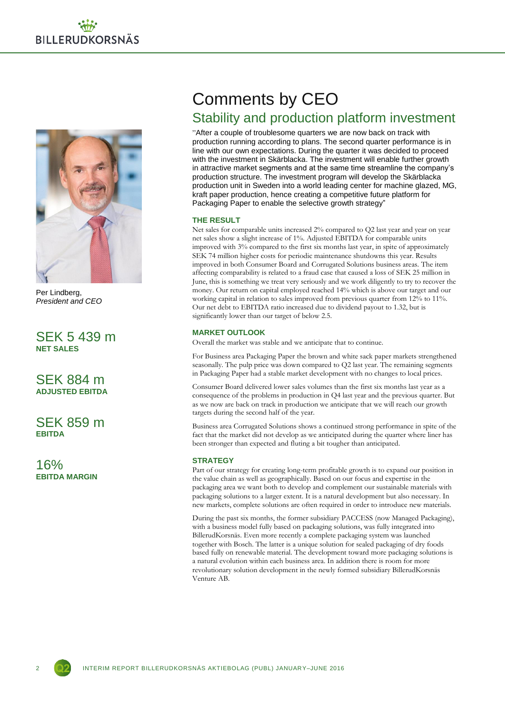

Per Lindberg, *President and CEO*

SEK 5 439 m **NET SALES**

SEK 884 m **ADJUSTED EBITDA**

SEK 859 m **EBITDA**

16% **EBITDA MARGIN**

# Comments by CEO

### Stability and production platform investment

"After a couple of troublesome quarters we are now back on track with production running according to plans. The second quarter performance is in line with our own expectations. During the quarter it was decided to proceed with the investment in Skärblacka. The investment will enable further growth in attractive market segments and at the same time streamline the company's production structure. The investment program will develop the Skärblacka production unit in Sweden into a world leading center for machine glazed, MG, kraft paper production, hence creating a competitive future platform for Packaging Paper to enable the selective growth strategy"

### **THE RESULT**

Net sales for comparable units increased 2% compared to Q2 last year and year on year net sales show a slight increase of 1%. Adjusted EBITDA for comparable units improved with 3% compared to the first six months last year, in spite of approximately SEK 74 million higher costs for periodic maintenance shutdowns this year. Results improved in both Consumer Board and Corrugated Solutions business areas. The item affecting comparability is related to a fraud case that caused a loss of SEK 25 million in June, this is something we treat very seriously and we work diligently to try to recover the money. Our return on capital employed reached 14% which is above our target and our working capital in relation to sales improved from previous quarter from 12% to 11%. Our net debt to EBITDA ratio increased due to dividend payout to 1.32, but is significantly lower than our target of below 2.5.

### **MARKET OUTLOOK**

Overall the market was stable and we anticipate that to continue.

For Business area Packaging Paper the brown and white sack paper markets strengthened seasonally. The pulp price was down compared to Q2 last year. The remaining segments in Packaging Paper had a stable market development with no changes to local prices.

Consumer Board delivered lower sales volumes than the first six months last year as a consequence of the problems in production in Q4 last year and the previous quarter. But as we now are back on track in production we anticipate that we will reach our growth targets during the second half of the year.

Business area Corrugated Solutions shows a continued strong performance in spite of the fact that the market did not develop as we anticipated during the quarter where liner has been stronger than expected and fluting a bit tougher than anticipated.

### **STRATEGY**

Part of our strategy for creating long-term profitable growth is to expand our position in the value chain as well as geographically. Based on our focus and expertise in the packaging area we want both to develop and complement our sustainable materials with packaging solutions to a larger extent. It is a natural development but also necessary. In new markets, complete solutions are often required in order to introduce new materials.

During the past six months, the former subsidiary PACCESS (now Managed Packaging), with a business model fully based on packaging solutions, was fully integrated into BillerudKorsnäs. Even more recently a complete packaging system was launched together with Bosch. The latter is a unique solution for sealed packaging of dry foods based fully on renewable material. The development toward more packaging solutions is a natural evolution within each business area. In addition there is room for more revolutionary solution development in the newly formed subsidiary BillerudKorsnäs Venture AB.

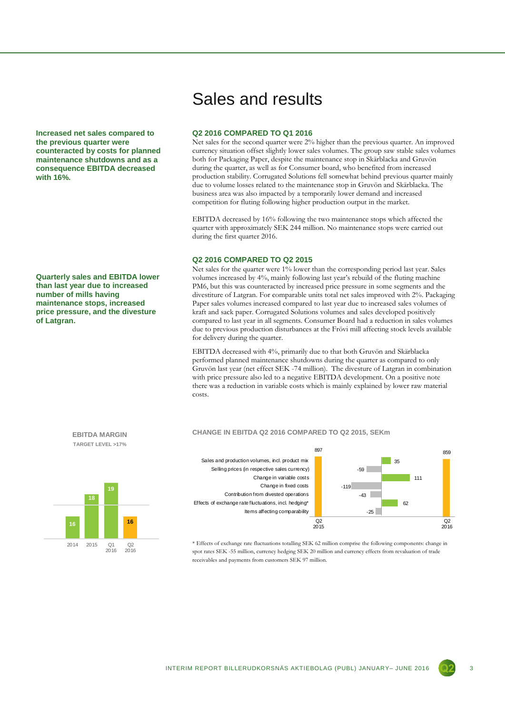**Increased net sales compared to the previous quarter were counteracted by costs for planned maintenance shutdowns and as a consequence EBITDA decreased with 16%.**

**Quarterly sales and EBITDA lower than last year due to increased number of mills having maintenance stops, increased price pressure, and the divesture of Latgran.** 



#### **Q2 2016 COMPARED TO Q1 2016**

Net sales for the second quarter were 2% higher than the previous quarter. An improved currency situation offset slightly lower sales volumes. The group saw stable sales volumes both for Packaging Paper, despite the maintenance stop in Skärblacka and Gruvön during the quarter, as well as for Consumer board, who benefited from increased production stability. Corrugated Solutions fell somewhat behind previous quarter mainly due to volume losses related to the maintenance stop in Gruvön and Skärblacka. The business area was also impacted by a temporarily lower demand and increased competition for fluting following higher production output in the market.

EBITDA decreased by 16% following the two maintenance stops which affected the quarter with approximately SEK 244 million. No maintenance stops were carried out during the first quarter 2016.

### **Q2 2016 COMPARED TO Q2 2015**

Net sales for the quarter were 1% lower than the corresponding period last year. Sales volumes increased by 4%, mainly following last year's rebuild of the fluting machine PM6, but this was counteracted by increased price pressure in some segments and the divestiture of Latgran. For comparable units total net sales improved with 2%. Packaging Paper sales volumes increased compared to last year due to increased sales volumes of kraft and sack paper. Corrugated Solutions volumes and sales developed positively compared to last year in all segments. Consumer Board had a reduction in sales volumes due to previous production disturbances at the Frövi mill affecting stock levels available for delivery during the quarter.

EBITDA decreased with 4%, primarily due to that both Gruvön and Skärblacka performed planned maintenance shutdowns during the quarter as compared to only Gruvön last year (net effect SEK -74 million). The divesture of Latgran in combination with price pressure also led to a negative EBITDA development. On a positive note there was a reduction in variable costs which is mainly explained by lower raw material costs.



spot rates SEK -55 million, currency hedging SEK 20 million and currency effects from revaluation of trade receivables and payments from customers SEK 97 million.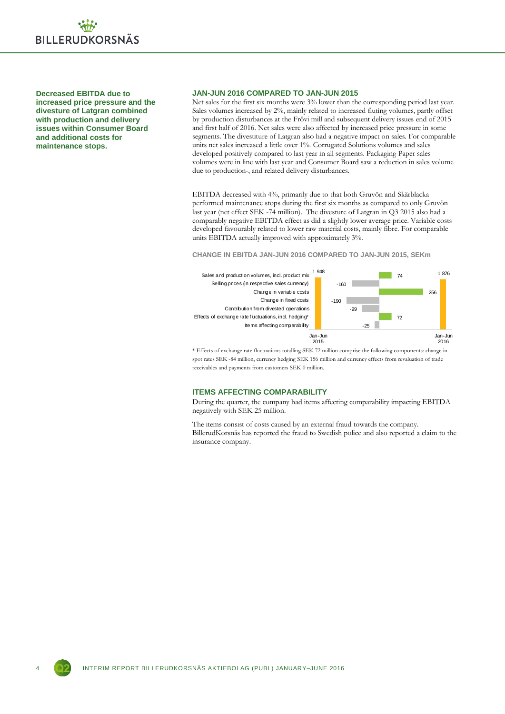

**Decreased EBITDA due to increased price pressure and the divesture of Latgran combined with production and delivery issues within Consumer Board and additional costs for maintenance stops.**

### **JAN-JUN 2016 COMPARED TO JAN-JUN 2015**

Net sales for the first six months were 3% lower than the corresponding period last year. Sales volumes increased by 2%, mainly related to increased fluting volumes, partly offset by production disturbances at the Frövi mill and subsequent delivery issues end of 2015 and first half of 2016. Net sales were also affected by increased price pressure in some segments. The divestiture of Latgran also had a negative impact on sales. For comparable units net sales increased a little over 1%. Corrugated Solutions volumes and sales developed positively compared to last year in all segments. Packaging Paper sales volumes were in line with last year and Consumer Board saw a reduction in sales volume due to production-, and related delivery disturbances.

EBITDA decreased with 4%, primarily due to that both Gruvön and Skärblacka performed maintenance stops during the first six months as compared to only Gruvön last year (net effect SEK -74 million). The divesture of Latgran in Q3 2015 also had a comparably negative EBITDA effect as did a slightly lower average price. Variable costs developed favourably related to lower raw material costs, mainly fibre. For comparable units EBITDA actually improved with approximately 3%.

#### **CHANGE IN EBITDA JAN-JUN 2016 COMPARED TO JAN-JUN 2015, SEKm**



\* Effects of exchange rate fluctuations totalling SEK 72 million comprise the following components: change in spot rates SEK -84 million, currency hedging SEK 156 million and currency effects from revaluation of trade receivables and payments from customers SEK 0 million.

#### **ITEMS AFFECTING COMPARABILITY**

During the quarter, the company had items affecting comparability impacting EBITDA negatively with SEK 25 million.

The items consist of costs caused by an external fraud towards the company. BillerudKorsnäs has reported the fraud to Swedish police and also reported a claim to the insurance company.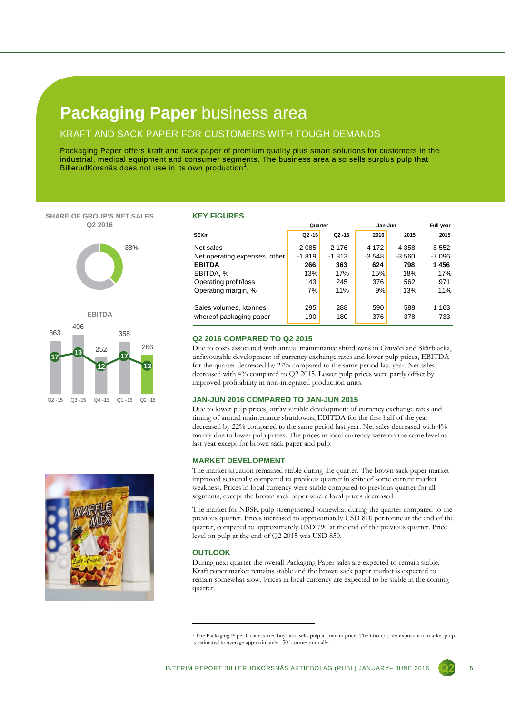### **Packaging Paper** business area

### KRAFT AND SACK PAPER FOR CUSTOMERS WITH TOUGH DEMANDS

Packaging Paper offers kraft and sack paper of premium quality plus smart solutions for customers in the industrial, medical equipment and consumer segments. The business area also sells surplus pulp that BillerudKorsnäs does not use in its own production $1$ .

**SHARE OF GROUP'S NET SALES Q2 2016**





#### **KEY FIGURES**

|                               | Quarter   |           | Jan-Jun | Full year |         |
|-------------------------------|-----------|-----------|---------|-----------|---------|
| <b>SEKm</b>                   | $Q2 - 16$ | $Q2 - 15$ | 2016    | 2015      | 2015    |
| Net sales                     | 2 0 8 5   | 2 1 7 6   | 4 172   | 4 3 5 8   | 8 5 5 2 |
| Net operating expenses, other | $-1819$   | $-1813$   | -3 548  | $-3560$   | -7 096  |
| <b>EBITDA</b>                 | 266       | 363       | 624     | 798       | 1456    |
| EBITDA, %                     | 13%       | 17%       | 15%     | 18%       | 17%     |
| Operating profit/loss         | 143       | 245       | 376     | 562       | 971     |
| Operating margin, %           | 7%        | 11%       | 9%      | 13%       | 11%     |
|                               |           |           |         |           |         |
| Sales volumes, ktonnes        | 295       | 288       | 590     | 588       | 1 1 6 3 |
| whereof packaging paper       | 190       | 180       | 376     | 378       | 733     |

### **Q2 2016 COMPARED TO Q2 2015**

Due to costs associated with annual maintenance shutdowns in Gruvön and Skärblacka, unfavourable development of currency exchange rates and lower pulp prices, EBITDA for the quarter decreased by 27% compared to the same period last year. Net sales decreased with 4% compared to Q2 2015. Lower pulp prices were partly offset by improved profitability in non-integrated production units.

#### **JAN-JUN 2016 COMPARED TO JAN-JUN 2015**

Due to lower pulp prices, unfavourable development of currency exchange rates and timing of annual maintenance shutdowns, EBITDA for the first half of the year decreased by 22% compared to the same period last year. Net sales decreased with 4% mainly due to lower pulp prices. The prices in local currency were on the same level as last year except for brown sack paper and pulp.

### **MARKET DEVELOPMENT**

The market situation remained stable during the quarter. The brown sack paper market improved seasonally compared to previous quarter in spite of some current market weakness. Prices in local currency were stable compared to previous quarter for all segments, except the brown sack paper where local prices decreased.

The market for NBSK pulp strengthened somewhat during the quarter compared to the previous quarter. Prices increased to approximately USD 810 per tonne at the end of the quarter, compared to approximately USD 790 at the end of the previous quarter. Price level on pulp at the end of Q2 2015 was USD 850.

#### **OUTLOOK**

1

During next quarter the overall Packaging Paper sales are expected to remain stable. Kraft paper market remains stable and the brown sack paper market is expected to remain somewhat slow. Prices in local currency are expected to be stable in the coming quarter.



<sup>&</sup>lt;sup>1</sup> The Packaging Paper business area buys and sells pulp at market price. The Group's net exposure in market pulp is estimated to average approximately 150 ktonnes annually.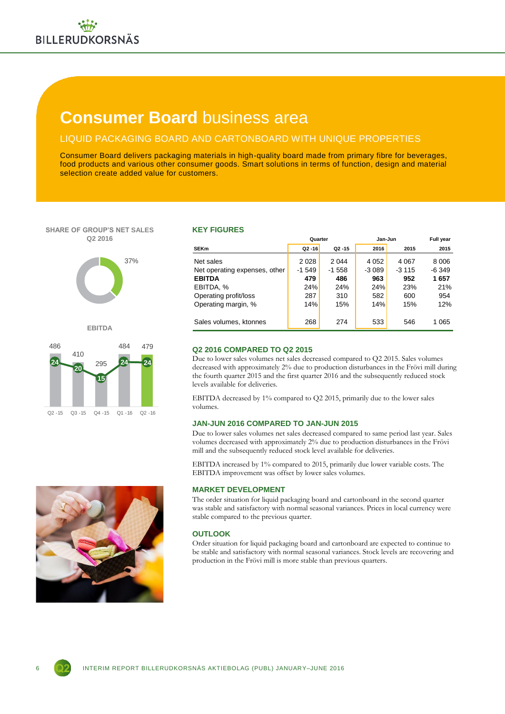# **Consumer Board** business area

### LIQUID PACKAGING BOARD AND CARTONBOARD WITH UNIQUE PROPERTIES

Consumer Board delivers packaging materials in high-quality board made from primary fibre for beverages, food products and various other consumer goods. Smart solutions in terms of function, design and material selection create added value for customers.

#### **SHARE OF GROUP'S NET SALES Q2 2016**







#### **KEY FIGURES**

|                               | Quarter   |           | Jan-Jun | <b>Full year</b> |         |
|-------------------------------|-----------|-----------|---------|------------------|---------|
| <b>SEKm</b>                   | $Q2 - 16$ | $Q2 - 15$ | 2016    | 2015             | 2015    |
| Net sales                     | 2 0 2 8   | 2 0 4 4   | 4 0 5 2 | 4 0 6 7          | 8006    |
| Net operating expenses, other | $-1549$   | $-1558$   | $-3089$ | $-3115$          | $-6349$ |
| <b>EBITDA</b>                 | 479       | 486       | 963     | 952              | 1657    |
| EBITDA, %                     | 24%       | 24%       | 24%     | 23%              | 21%     |
| Operating profit/loss         | 287       | 310       | 582     | 600              | 954     |
| Operating margin, %           | 14%       | 15%       | 14%     | 15%              | 12%     |
|                               |           |           |         |                  |         |
| Sales volumes, ktonnes        | 268       | 274       | 533     | 546              | 1 0 6 5 |
|                               |           |           |         |                  |         |

### **Q2 2016 COMPARED TO Q2 2015**

Due to lower sales volumes net sales decreased compared to Q2 2015. Sales volumes decreased with approximately 2% due to production disturbances in the Frövi mill during the fourth quarter 2015 and the first quarter 2016 and the subsequently reduced stock levels available for deliveries.

EBITDA decreased by 1% compared to Q2 2015, primarily due to the lower sales volumes.

### **JAN-JUN 2016 COMPARED TO JAN-JUN 2015**

Due to lower sales volumes net sales decreased compared to same period last year. Sales volumes decreased with approximately 2% due to production disturbances in the Frövi mill and the subsequently reduced stock level available for deliveries.

EBITDA increased by 1% compared to 2015, primarily due lower variable costs. The EBITDA improvement was offset by lower sales volumes.

### **MARKET DEVELOPMENT**

The order situation for liquid packaging board and cartonboard in the second quarter was stable and satisfactory with normal seasonal variances. Prices in local currency were stable compared to the previous quarter.

### **OUTLOOK**

Order situation for liquid packaging board and cartonboard are expected to continue to be stable and satisfactory with normal seasonal variances. Stock levels are recovering and production in the Frövi mill is more stable than previous quarters.



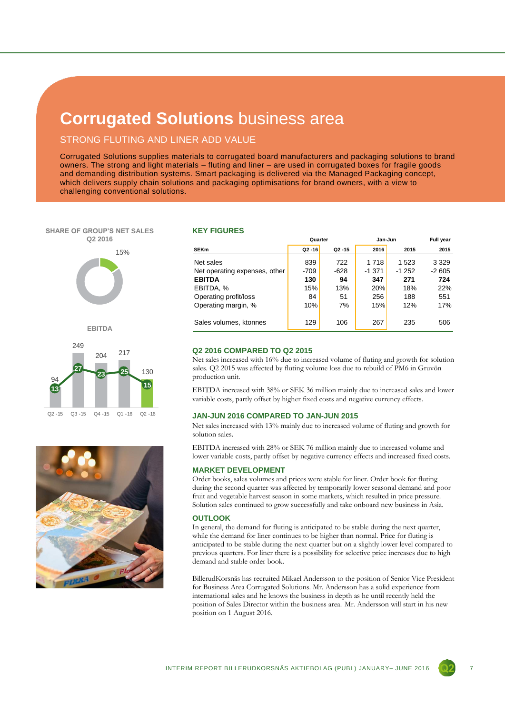## **Corrugated Solutions** business area

### STRONG FLUTING AND LINER ADD VALUE

Corrugated Solutions supplies materials to corrugated board manufacturers and packaging solutions to brand owners. The strong and light materials – fluting and liner – are used in corrugated boxes for fragile goods and demanding distribution systems. Smart packaging is delivered via the Managed Packaging concept, which delivers supply chain solutions and packaging optimisations for brand owners, with a view to challenging conventional solutions.

# **SHARE OF GROUP'S NET SALES Q2 2016** 15%

**EBITDA**



#### **KEY FIGURES**

|                               | Quarter   |           | Jan-Jun | <b>Full year</b> |         |
|-------------------------------|-----------|-----------|---------|------------------|---------|
| <b>SEKm</b>                   | $Q2 - 16$ | $Q2 - 15$ | 2016    | 2015             | 2015    |
| Net sales                     | 839       | 722       | 1718    | 1 5 2 3          | 3 3 2 9 |
| Net operating expenses, other | $-709$    | $-628$    | -1 371  | $-1252$          | $-2605$ |
| <b>EBITDA</b>                 | 130       | 94        | 347     | 271              | 724     |
| EBITDA, %                     | 15%       | 13%       | 20%     | 18%              | 22%     |
| Operating profit/loss         | 84        | 51        | 256     | 188              | 551     |
| Operating margin, %           | 10%       | 7%        | 15%     | 12%              | 17%     |
|                               |           |           |         |                  |         |
| Sales volumes, ktonnes        | 129       | 106       | 267     | 235              | 506     |
|                               |           |           |         |                  |         |

### **Q2 2016 COMPARED TO Q2 2015**

Net sales increased with 16% due to increased volume of fluting and growth for solution sales. Q2 2015 was affected by fluting volume loss due to rebuild of PM6 in Gruvön production unit.

EBITDA increased with 38% or SEK 36 million mainly due to increased sales and lower variable costs, partly offset by higher fixed costs and negative currency effects.

#### **JAN-JUN 2016 COMPARED TO JAN-JUN 2015**

Net sales increased with 13% mainly due to increased volume of fluting and growth for solution sales.

EBITDA increased with 28% or SEK 76 million mainly due to increased volume and lower variable costs, partly offset by negative currency effects and increased fixed costs.

### **MARKET DEVELOPMENT**

Order books, sales volumes and prices were stable for liner. Order book for fluting during the second quarter was affected by temporarily lower seasonal demand and poor fruit and vegetable harvest season in some markets, which resulted in price pressure. Solution sales continued to grow successfully and take onboard new business in Asia.

#### **OUTLOOK**

In general, the demand for fluting is anticipated to be stable during the next quarter, while the demand for liner continues to be higher than normal. Price for fluting is anticipated to be stable during the next quarter but on a slightly lower level compared to previous quarters. For liner there is a possibility for selective price increases due to high demand and stable order book.

BillerudKorsnäs has recruited Mikael Andersson to the position of Senior Vice President for Business Area Corrugated Solutions. Mr. Andersson has a solid experience from international sales and he knows the business in depth as he until recently held the position of Sales Director within the business area. Mr. Andersson will start in his new position on 1 August 2016.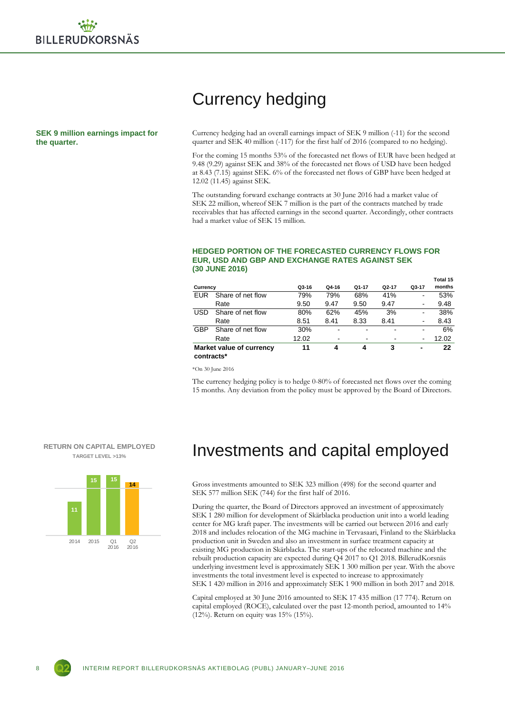**SEK 9 million earnings impact for the quarter.**

## Currency hedging

Currency hedging had an overall earnings impact of SEK 9 million (-11) for the second quarter and SEK 40 million (-117) for the first half of 2016 (compared to no hedging).

For the coming 15 months 53% of the forecasted net flows of EUR have been hedged at 9.48 (9.29) against SEK and 38% of the forecasted net flows of USD have been hedged at 8.43 (7.15) against SEK. 6% of the forecasted net flows of GBP have been hedged at 12.02 (11.45) against SEK.

The outstanding forward exchange contracts at 30 June 2016 had a market value of SEK 22 million, whereof SEK 7 million is the part of the contracts matched by trade receivables that has affected earnings in the second quarter. Accordingly, other contracts had a market value of SEK 15 million.

#### **HEDGED PORTION OF THE FORECASTED CURRENCY FLOWS FOR EUR, USD AND GBP AND EXCHANGE RATES AGAINST SEK (30 JUNE 2016)**

| Currency   |                          | Q3-16 | Q4-16 | Q1-17                    | Q <sub>2</sub> -17 | Q3-17                        | Total 15<br>months |
|------------|--------------------------|-------|-------|--------------------------|--------------------|------------------------------|--------------------|
| EUR        | Share of net flow        | 79%   | 79%   | 68%                      | 41%                | $\qquad \qquad \blacksquare$ | 53%                |
|            | Rate                     | 9.50  | 9.47  | 9.50                     | 9.47               | $\qquad \qquad \blacksquare$ | 9.48               |
| <b>USD</b> | Share of net flow        | 80%   | 62%   | 45%                      | 3%                 | ۰                            | 38%                |
|            | Rate                     | 8.51  | 8.41  | 8.33                     | 8.41               | $\qquad \qquad \blacksquare$ | 8.43               |
| <b>GBP</b> | Share of net flow        | 30%   |       |                          |                    |                              | 6%                 |
|            | Rate                     | 12.02 | -     | $\overline{\phantom{a}}$ | ٠                  | ۰                            | 12.02              |
| contracts* | Market value of currency | 11    | 4     | 4                        | 3                  | -                            | 22                 |

\*On 30 June 2016

The currency hedging policy is to hedge 0-80% of forecasted net flows over the coming 15 months. Any deviation from the policy must be approved by the Board of Directors.





### Investments and capital employed

Gross investments amounted to SEK 323 million (498) for the second quarter and SEK 577 million SEK (744) for the first half of 2016.

During the quarter, the Board of Directors approved an investment of approximately SEK 1 280 million for development of Skärblacka production unit into a world leading center for MG kraft paper. The investments will be carried out between 2016 and early 2018 and includes relocation of the MG machine in Tervasaari, Finland to the Skärblacka production unit in Sweden and also an investment in surface treatment capacity at existing MG production in Skärblacka. The start-ups of the relocated machine and the rebuilt production capacity are expected during Q4 2017 to Q1 2018. BillerudKorsnäs underlying investment level is approximately SEK 1 300 million per year. With the above investments the total investment level is expected to increase to approximately SEK 1 420 million in 2016 and approximately SEK 1 900 million in both 2017 and 2018.

Capital employed at 30 June 2016 amounted to SEK 17 435 million (17 774). Return on capital employed (ROCE), calculated over the past 12-month period, amounted to 14% (12%). Return on equity was 15% (15%).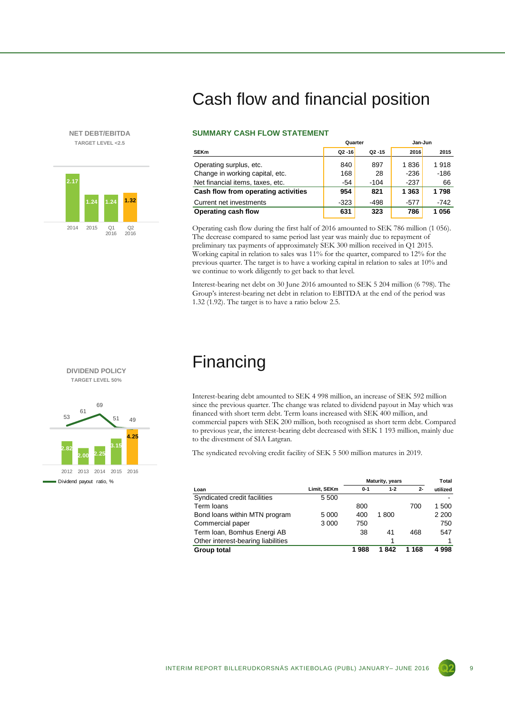### **NET DEBT/EBITDA TARGET LEVEL <2.5**



# Cash flow and financial position

### **SUMMARY CASH FLOW STATEMENT**

|                                     | Quarter   |           | Jan-Jun |        |  |
|-------------------------------------|-----------|-----------|---------|--------|--|
| <b>SEKm</b>                         | $Q2 - 16$ | $Q2 - 15$ | 2016    | 2015   |  |
| Operating surplus, etc.             | 840       | 897       | 1836    | 1918   |  |
| Change in working capital, etc.     | 168       | 28        | $-236$  | $-186$ |  |
| Net financial items, taxes, etc.    | -54       | $-104$    | -237    | 66     |  |
| Cash flow from operating activities | 954       | 821       | 1 3 6 3 | 1798   |  |
| Current net investments             | $-323$    | $-498$    | $-577$  | $-742$ |  |
| Operating cash flow                 | 631       | 323       | 786     | 1056   |  |

Operating cash flow during the first half of 2016 amounted to SEK 786 million (1 056). The decrease compared to same period last year was mainly due to repayment of preliminary tax payments of approximately SEK 300 million received in Q1 2015. Working capital in relation to sales was 11% for the quarter, compared to 12% for the previous quarter. The target is to have a working capital in relation to sales at 10% and we continue to work diligently to get back to that level.

Interest-bearing net debt on 30 June 2016 amounted to SEK 5 204 million (6 798). The Group's interest-bearing net debt in relation to EBITDA at the end of the period was 1.32 (1.92). The target is to have a ratio below 2.5.

### Financing

Interest-bearing debt amounted to SEK 4 998 million, an increase of SEK 592 million since the previous quarter. The change was related to dividend payout in May which was financed with short term debt. Term loans increased with SEK 400 million, and commercial papers with SEK 200 million, both recognised as short term debt. Compared to previous year, the interest-bearing debt decreased with SEK 1 193 million, mainly due to the divestment of SIA Latgran.

The syndicated revolving credit facility of SEK 5 500 million matures in 2019.

|                                    |             | Maturity, years |         |       | Total    |
|------------------------------------|-------------|-----------------|---------|-------|----------|
| Loan                               | Limit, SEKm | $0 - 1$         | $1 - 2$ | $2 -$ | utilized |
| Syndicated credit facilities       | 5 500       |                 |         |       |          |
| Term loans                         |             | 800             |         | 700   | 1 500    |
| Bond loans within MTN program      | 5 000       | 400             | 1800    |       | 2 2 0 0  |
| Commercial paper                   | 3 0 0 0     | 750             |         |       | 750      |
| Term Ioan, Bomhus Energi AB        |             | 38              | 41      | 468   | 547      |
| Other interest-bearing liabilities |             |                 |         |       |          |
| Group total                        |             | 1988            | 1842    | 1 168 | 4998     |

**TARGET LEVEL 50%** 69

**DIVIDEND POLICY**

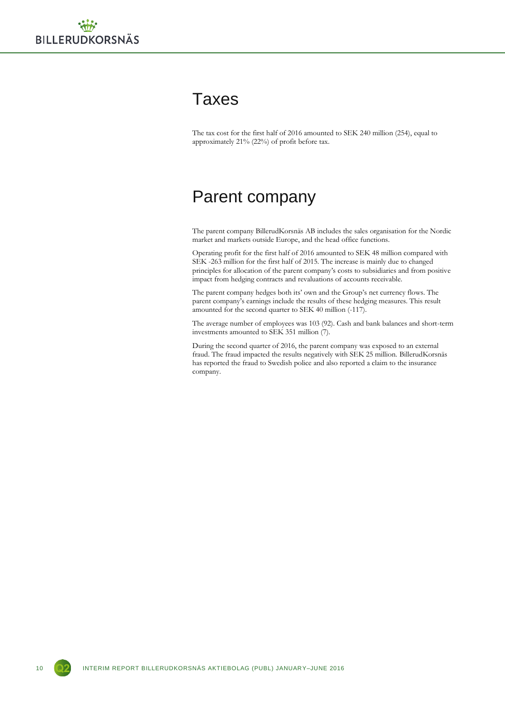### **Taxes**

The tax cost for the first half of 2016 amounted to SEK 240 million (254), equal to approximately 21% (22%) of profit before tax.

### Parent company

The parent company BillerudKorsnäs AB includes the sales organisation for the Nordic market and markets outside Europe, and the head office functions.

Operating profit for the first half of 2016 amounted to SEK 48 million compared with SEK -263 million for the first half of 2015. The increase is mainly due to changed principles for allocation of the parent company's costs to subsidiaries and from positive impact from hedging contracts and revaluations of accounts receivable.

The parent company hedges both its' own and the Group's net currency flows. The parent company's earnings include the results of these hedging measures. This result amounted for the second quarter to SEK 40 million (-117).

The average number of employees was 103 (92). Cash and bank balances and short-term investments amounted to SEK 351 million (7).

During the second quarter of 2016, the parent company was exposed to an external fraud. The fraud impacted the results negatively with SEK 25 million. BillerudKorsnäs has reported the fraud to Swedish police and also reported a claim to the insurance company.

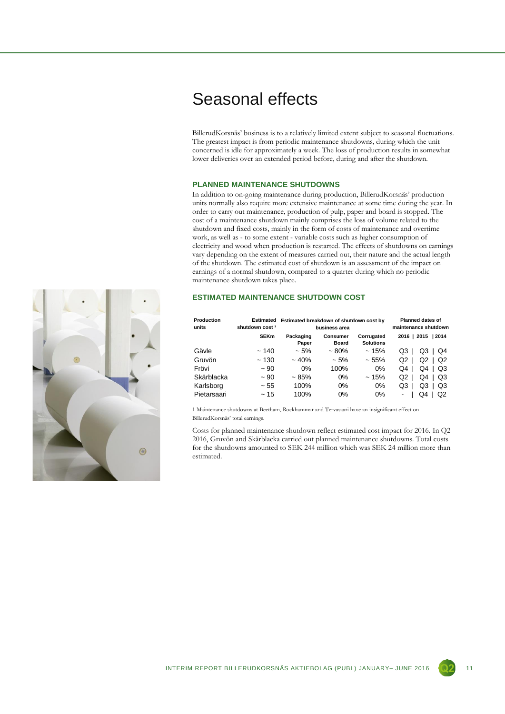### Seasonal effects

BillerudKorsnäs' business is to a relatively limited extent subject to seasonal fluctuations. The greatest impact is from periodic maintenance shutdowns, during which the unit concerned is idle for approximately a week. The loss of production results in somewhat lower deliveries over an extended period before, during and after the shutdown.

### **PLANNED MAINTENANCE SHUTDOWNS**

In addition to on-going maintenance during production, BillerudKorsnäs' production units normally also require more extensive maintenance at some time during the year. In order to carry out maintenance, production of pulp, paper and board is stopped. The cost of a maintenance shutdown mainly comprises the loss of volume related to the shutdown and fixed costs, mainly in the form of costs of maintenance and overtime work, as well as - to some extent - variable costs such as higher consumption of electricity and wood when production is restarted. The effects of shutdowns on earnings vary depending on the extent of measures carried out, their nature and the actual length of the shutdown. The estimated cost of shutdown is an assessment of the impact on earnings of a normal shutdown, compared to a quarter during which no periodic maintenance shutdown takes place.

### **ESTIMATED MAINTENANCE SHUTDOWN COST**

| Production<br>units | Estimated<br>shutdown cost <sup>1</sup> | Estimated breakdown of shutdown cost by | business area                   | <b>Planned dates of</b><br>maintenance shutdown |                      |
|---------------------|-----------------------------------------|-----------------------------------------|---------------------------------|-------------------------------------------------|----------------------|
|                     | <b>SEKm</b>                             | Packaging<br>Paper                      | <b>Consumer</b><br><b>Board</b> | Corrugated<br><b>Solutions</b>                  | 2016   2015<br>12014 |
| Gävle               | ~140                                    | $~1.5\%$                                | $~1.80\%$                       | ~15%                                            | Q3<br>Q3<br>Q4       |
| Gruvön              | ~130                                    | $~10\%$                                 | ~5%                             | ~1.55%                                          | Q2<br>Q2<br>Q2       |
| Frövi               | ~100                                    | $0\%$                                   | 100%                            | $0\%$                                           | Q4<br>Q3<br>Q4       |
| Skärblacka          | ~100                                    | $~1.85\%$                               | 0%                              | ~15%                                            | Q2<br>Q3<br>Q4       |
| Karlsborg           | ~155                                    | 100%                                    | $0\%$                           | $0\%$                                           | Q3<br>Q3<br>Q3       |
| Pietarsaari         | ~15                                     | 100%                                    | 0%                              | 0%                                              | Q2<br>O4             |

1 Maintenance shutdowns at Beetham, Rockhammar and Tervasaari have an insignificant effect on BillerudKorsnäs' total earnings.

Costs for planned maintenance shutdown reflect estimated cost impact for 2016. In Q2 2016, Gruvön and Skärblacka carried out planned maintenance shutdowns. Total costs for the shutdowns amounted to SEK 244 million which was SEK 24 million more than estimated.

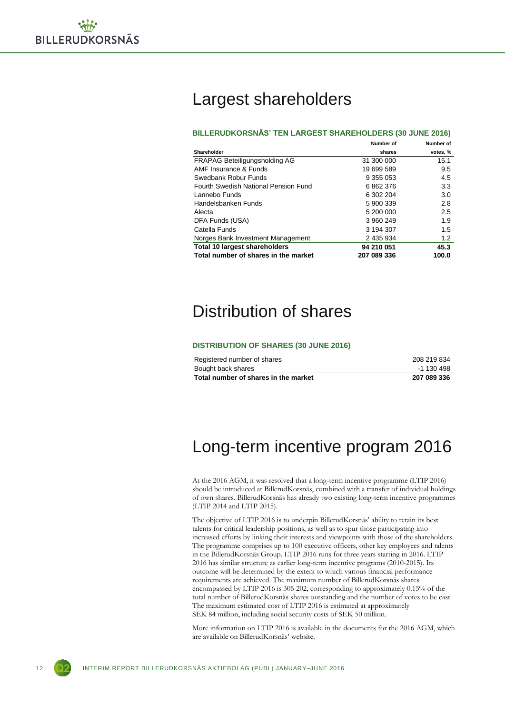

## Largest shareholders

#### **BILLERUDKORSNÄS' TEN LARGEST SHAREHOLDERS (30 JUNE 2016)**

|                                      | Number of   | Number of |
|--------------------------------------|-------------|-----------|
| Shareholder                          | shares      | votes, %  |
| <b>FRAPAG Beteiligungsholding AG</b> | 31 300 000  | 15.1      |
| AMF Insurance & Funds                | 19 699 589  | 9.5       |
| Swedbank Robur Funds                 | 9 355 053   | 4.5       |
| Fourth Swedish National Pension Fund | 6862376     | 3.3       |
| Lannebo Funds                        | 6 302 204   | 3.0       |
| Handelsbanken Funds                  | 5 900 339   | 2.8       |
| Alecta                               | 5 200 000   | 2.5       |
| DFA Funds (USA)                      | 3 960 249   | 1.9       |
| Catella Funds                        | 3 194 307   | 1.5       |
| Norges Bank Investment Management    | 2 435 934   | 1.2       |
| <b>Total 10 largest shareholders</b> | 94 210 051  | 45.3      |
| Total number of shares in the market | 207 089 336 | 100.0     |

### Distribution of shares

#### **DISTRIBUTION OF SHARES (30 JUNE 2016)**

| Registered number of shares          | 208 219 834 |
|--------------------------------------|-------------|
| Bought back shares                   | -1 130 498  |
| Total number of shares in the market | 207 089 336 |

### Long-term incentive program 2016

At the 2016 AGM, it was resolved that a long-term incentive programme (LTIP 2016) should be introduced at BillerudKorsnäs, combined with a transfer of individual holdings of own shares. BillerudKorsnäs has already two existing long-term incentive programmes (LTIP 2014 and LTIP 2015).

The objective of LTIP 2016 is to underpin BillerudKorsnäs' ability to retain its best talents for critical leadership positions, as well as to spur those participating into increased efforts by linking their interests and viewpoints with those of the shareholders. The programme comprises up to 100 executive officers, other key employees and talents in the BillerudKorsnäs Group. LTIP 2016 runs for three years starting in 2016. LTIP 2016 has similar structure as earlier long-term incentive programs (2010-2015). Its outcome will be determined by the extent to which various financial performance requirements are achieved. The maximum number of BillerudKorsnäs shares encompassed by LTIP 2016 is 305 202, corresponding to approximately 0.15% of the total number of BillerudKorsnäs shares outstanding and the number of votes to be cast. The maximum estimated cost of LTIP 2016 is estimated at approximately SEK 84 million, including social security costs of SEK 50 million.

More information on LTIP 2016 is available in the documents for the 2016 AGM, which are available on BillerudKorsnäs' website.

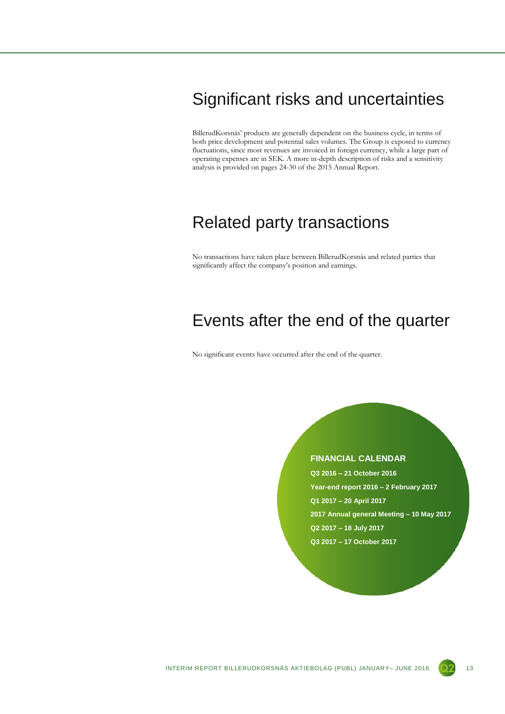## Significant risks and uncertainties

BillerudKorsnäs' products are generally dependent on the business cycle, in terms of both price development and potential sales volumes. The Group is exposed to currency fluctuations, since most revenues are invoiced in foreign currency, while a large part of operating expenses are in SEK. A more in-depth description of risks and a sensitivity analysis is provided on pages 24-30 of the 2015 Annual Report.

### Related party transactions

No transactions have taken place between BillerudKorsnäs and related parties that significantly affect the company's position and earnings.

### Events after the end of the quarter

No significant events have occurred after the end of the quarter.

### **FINANCIAL CALENDAR**

**Q3 2016 – 21 October 2016 Year-end report 2016 – 2 February 2017 Q1 2017 – 20 April 2017 2017 Annual general Meeting – 10 May 2017 Q2 2017 – 18 July 2017 Q3 2017 – 17 October 2017**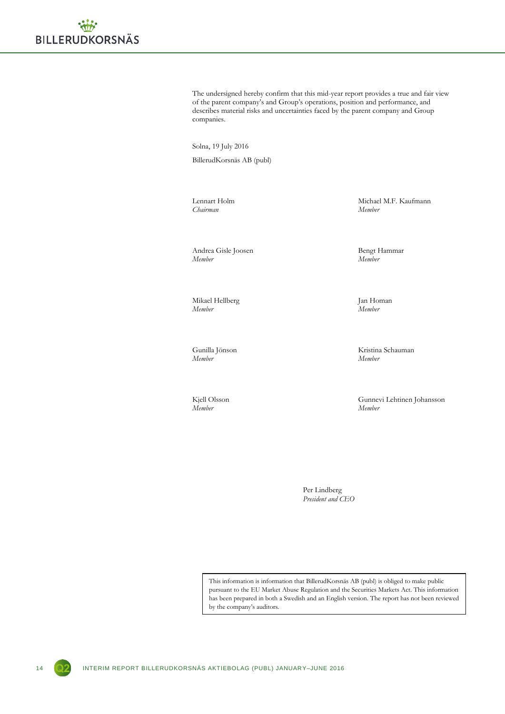The undersigned hereby confirm that this mid-year report provides a true and fair view of the parent company's and Group's operations, position and performance, and describes material risks and uncertainties faced by the parent company and Group companies.

Solna, 19 July 2016 BillerudKorsnäs AB (publ)

*Chairman Member*

Andrea Gisle Joosen Bengt Hammar<br>Member Member *Member Member*

Mikael Hellberg Jan Homan *Member Member*

*Member Member*

*Member Member*

Lennart Holm Michael M.F. Kaufmann<br>
Chairman Member Member

Gunilla Jönson Kristina Schauman

Kjell Olsson Gunnevi Lehtinen Johansson

Per Lindberg *President and CEO*

This information is information that BillerudKorsnäs AB (publ) is obliged to make public pursuant to the EU Market Abuse Regulation and the Securities Markets Act. This information has been prepared in both a Swedish and an English version. The report has not been reviewed by the company's auditors.

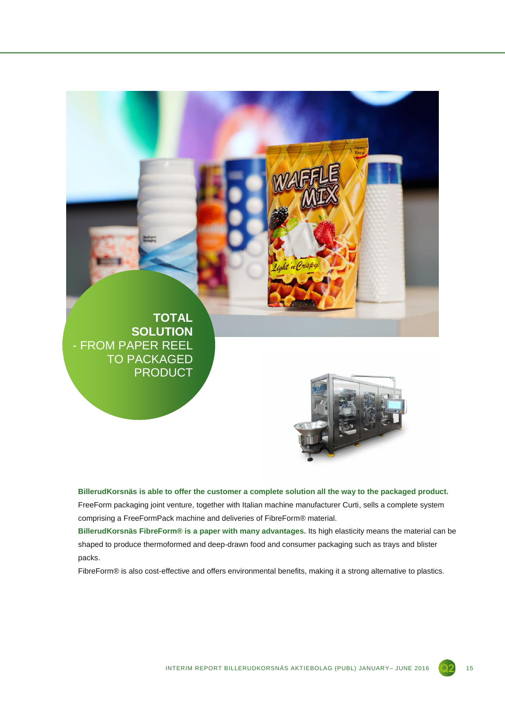

**BillerudKorsnäs is able to offer the customer a complete solution all the way to the packaged product.** FreeForm packaging joint venture, together with Italian machine manufacturer Curti, sells a complete system comprising a FreeFormPack machine and deliveries of FibreForm® material.

**BillerudKorsnäs FibreForm® is a paper with many advantages.** Its high elasticity means the material can be shaped to produce thermoformed and deep-drawn food and consumer packaging such as trays and blister packs.

FibreForm® is also cost-effective and offers environmental benefits, making it a strong alternative to plastics.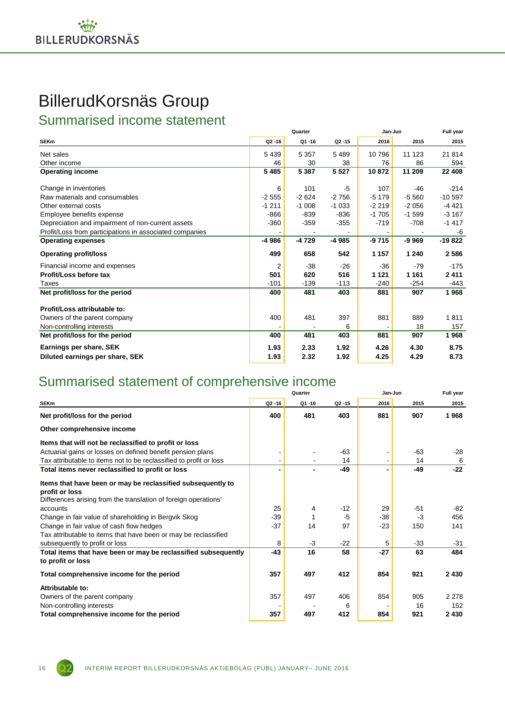# BillerudKorsnäs Group

Summarised income statement

|                                                         | Quarter   |         |                    | Jan-Jun | Full year |           |
|---------------------------------------------------------|-----------|---------|--------------------|---------|-----------|-----------|
| <b>SEKm</b>                                             | $Q2 - 16$ | Q1-16   | Q <sub>2</sub> -15 | 2016    | 2015      | 2015      |
| Net sales                                               | 5 4 3 9   | 5 3 5 7 | 5 4 8 9            | 10796   | 11 123    | 21 814    |
| Other income                                            | 46        | 30      | 38                 | 76      | 86        | 594       |
| <b>Operating income</b>                                 | 5485      | 5 3 8 7 | 5 5 2 7            | 10872   | 11 209    | 22 408    |
| Change in inventories                                   | 6         | 101     | -5                 | 107     | $-46$     | $-214$    |
| Raw materials and consumables                           | $-2555$   | $-2624$ | $-2756$            | $-5179$ | $-5560$   | $-10.597$ |
| Other external costs                                    | $-1211$   | $-1008$ | $-1033$            | $-2219$ | $-2056$   | $-4421$   |
| Employee benefits expense                               | -866      | -839    | -836               | $-1705$ | $-1.599$  | $-3167$   |
| Depreciation and impairment of non-current assets       | $-360$    | $-359$  | $-355$             | $-719$  | $-708$    | $-1417$   |
| Profit/Loss from participations in associated companies |           |         |                    |         |           | -6        |
| <b>Operating expenses</b>                               | -4 986    | -4729   | $-4985$            | -9715   | $-9969$   | $-19822$  |
| <b>Operating profit/loss</b>                            | 499       | 658     | 542                | 1 1 5 7 | 1 240     | 2586      |
| Financial income and expenses                           | 2         | $-38$   | $-26$              | $-36$   | $-79$     | $-175$    |
| Profit/Loss before tax                                  | 501       | 620     | 516                | 1 1 2 1 | 1 1 6 1   | 2411      |
| Taxes                                                   | $-101$    | $-139$  | $-113$             | $-240$  | $-254$    | -443      |
| Net profit/loss for the period                          | 400       | 481     | 403                | 881     | 907       | 1968      |
| Profit/Loss attributable to:                            |           |         |                    |         |           |           |
| Owners of the parent company                            | 400       | 481     | 397                | 881     | 889       | 1811      |
| Non-controlling interests                               |           |         | 6                  |         | 18        | 157       |
| Net profit/loss for the period                          | 400       | 481     | 403                | 881     | 907       | 1968      |
| Earnings per share, SEK                                 | 1.93      | 2.33    | 1.92               | 4.26    | 4.30      | 8.75      |
| Diluted earnings per share, SEK                         | 1.93      | 2.32    | 1.92               | 4.25    | 4.29      | 8.73      |

### Summarised statement of comprehensive income

|                                                                    |           | Quarter |           |       | Jan-Jun |         |
|--------------------------------------------------------------------|-----------|---------|-----------|-------|---------|---------|
| <b>SEKm</b>                                                        | $Q2 - 16$ | Q1-16   | $Q2 - 15$ | 2016  | 2015    | 2015    |
| Net profit/loss for the period                                     | 400       | 481     | 403       | 881   | 907     | 1968    |
| Other comprehensive income                                         |           |         |           |       |         |         |
| Items that will not be reclassified to profit or loss              |           |         |           |       |         |         |
| Actuarial gains or losses on defined benefit pension plans         |           |         | $-63$     |       | $-63$   | $-28$   |
| Tax attributable to items not to be reclassified to profit or loss |           |         | 14        |       | 14      | 6       |
| Total items never reclassified to profit or loss                   | ٠         |         | $-49$     |       | $-49$   | $-22$   |
| Items that have been or may be reclassified subsequently to        |           |         |           |       |         |         |
| profit or loss                                                     |           |         |           |       |         |         |
| Differences arising from the translation of foreign operations'    |           |         |           |       |         |         |
| accounts                                                           | 25        | 4       | $-12$     | 29    | $-51$   | -82     |
| Change in fair value of shareholding in Bergvik Skog               | $-39$     |         | $-5$      | $-38$ | $-3$    | 456     |
| Change in fair value of cash flow hedges                           | $-37$     | 14      | 97        | $-23$ | 150     | 141     |
| Tax attributable to items that have been or may be reclassified    |           |         |           |       |         |         |
| subsequently to profit or loss                                     | 8         | $-3$    | $-22$     | 5     | $-33$   | $-31$   |
| Total items that have been or may be reclassified subsequently     | $-43$     | 16      | 58        | $-27$ | 63      | 484     |
| to profit or loss                                                  |           |         |           |       |         |         |
| Total comprehensive income for the period                          | 357       | 497     | 412       | 854   | 921     | 2 4 3 0 |
| Attributable to:                                                   |           |         |           |       |         |         |
| Owners of the parent company                                       | 357       | 497     | 406       | 854   | 905     | 2 2 7 8 |
| Non-controlling interests                                          |           |         | 6         |       | 16      | 152     |
| Total comprehensive income for the period                          | 357       | 497     | 412       | 854   | 921     | 2 4 3 0 |

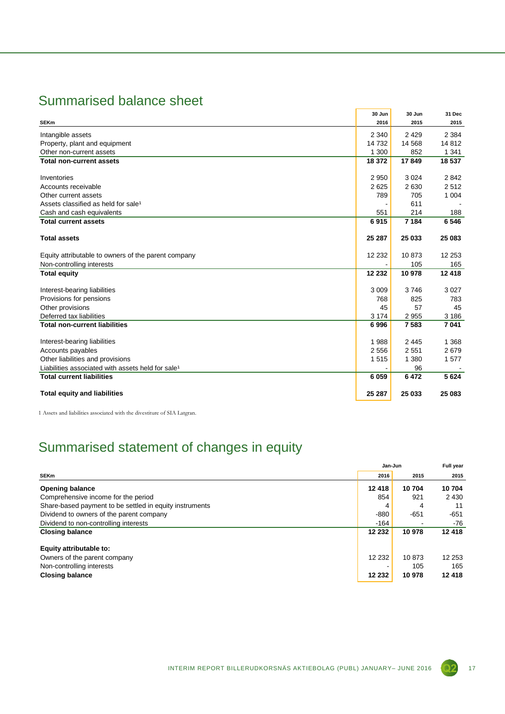### Summarised balance sheet

|                                                               | 30 Jun   | 30 Jun  | 31 Dec  |
|---------------------------------------------------------------|----------|---------|---------|
| <b>SEKm</b>                                                   | 2016     | 2015    | 2015    |
| Intangible assets                                             | 2 3 4 0  | 2429    | 2 3 8 4 |
| Property, plant and equipment                                 | 14 7 32  | 14 5 68 | 14 812  |
| Other non-current assets                                      | 1 300    | 852     | 1 3 4 1 |
| <b>Total non-current assets</b>                               | 18 372   | 17849   | 18 537  |
| Inventories                                                   | 2950     | 3 0 2 4 | 2842    |
| Accounts receivable                                           | 2625     | 2630    | 2512    |
| Other current assets                                          | 789      | 705     | 1 0 0 4 |
| Assets classified as held for sale <sup>1</sup>               |          | 611     |         |
| Cash and cash equivalents                                     | 551      | 214     | 188     |
| <b>Total current assets</b>                                   | 6915     | 7 1 8 4 | 6 5 4 6 |
| <b>Total assets</b>                                           | 25 287   | 25 033  | 25 083  |
| Equity attributable to owners of the parent company           | 12 2 3 2 | 10873   | 12 253  |
| Non-controlling interests                                     |          | 105     | 165     |
| <b>Total equity</b>                                           | 12 232   | 10978   | 12 4 18 |
| Interest-bearing liabilities                                  | 3 0 0 9  | 3746    | 3 0 27  |
| Provisions for pensions                                       | 768      | 825     | 783     |
| Other provisions                                              | 45       | 57      | 45      |
| Deferred tax liabilities                                      | 3 1 7 4  | 2955    | 3 1 8 6 |
| <b>Total non-current liabilities</b>                          | 6996     | 7583    | 7 041   |
| Interest-bearing liabilities                                  | 1988     | 2 4 4 5 | 1 3 6 8 |
| Accounts payables                                             | 2556     | 2551    | 2679    |
| Other liabilities and provisions                              | 1515     | 1 3 8 0 | 1577    |
| Liabilities associated with assets held for sale <sup>1</sup> |          | 96      |         |
| <b>Total current liabilities</b>                              | 6 0 5 9  | 6472    | 5 6 24  |
| <b>Total equity and liabilities</b>                           | 25 287   | 25 033  | 25 083  |

1 Assets and liabilities associated with the divestiture of SIA Latgran.

### Summarised statement of changes in equity

|                                                         | Jan-Jun  | Full year |         |
|---------------------------------------------------------|----------|-----------|---------|
| <b>SEKm</b>                                             | 2016     | 2015      | 2015    |
| <b>Opening balance</b>                                  | 12 4 18  | 10 704    | 10704   |
| Comprehensive income for the period                     | 854      | 921       | 2 4 3 0 |
| Share-based payment to be settled in equity instruments | 4        | 4         | 11      |
| Dividend to owners of the parent company                | $-880$   | $-651$    | -651    |
| Dividend to non-controlling interests                   | $-164$   |           | -76     |
| <b>Closing balance</b>                                  | 12 232   | 10 978    | 12 418  |
| Equity attributable to:                                 |          |           |         |
| Owners of the parent company                            | 12 2 3 2 | 10873     | 12 253  |
| Non-controlling interests                               |          | 105       | 165     |
| <b>Closing balance</b>                                  | 12 232   | 10 978    | 12 418  |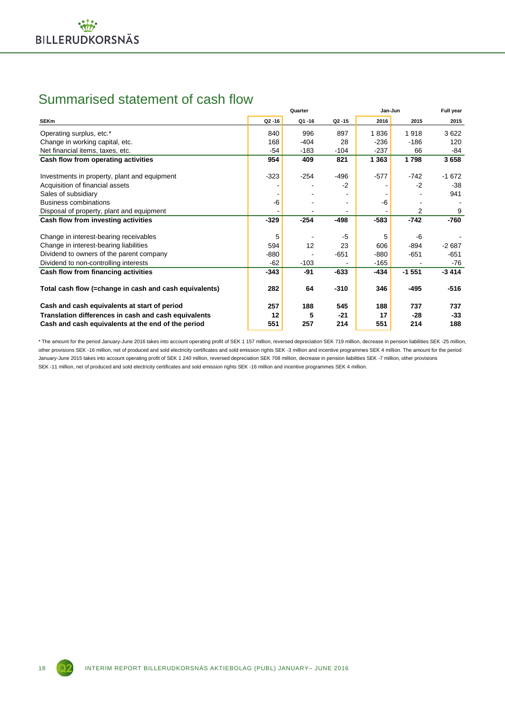### Summarised statement of cash flow

|                                                        |           | Quarter |           | Jan-Jun | Full year      |         |
|--------------------------------------------------------|-----------|---------|-----------|---------|----------------|---------|
| <b>SEKm</b>                                            | $Q2 - 16$ | Q1-16   | $Q2 - 15$ | 2016    | 2015           | 2015    |
| Operating surplus, etc.*                               | 840       | 996     | 897       | 1836    | 1918           | 3622    |
| Change in working capital, etc.                        | 168       | $-404$  | 28        | $-236$  | $-186$         | 120     |
| Net financial items, taxes, etc.                       | $-54$     | $-183$  | $-104$    | $-237$  | 66             | -84     |
| Cash flow from operating activities                    | 954       | 409     | 821       | 1 3 6 3 | 1798           | 3658    |
| Investments in property, plant and equipment           | $-323$    | $-254$  | -496      | $-577$  | $-742$         | $-1672$ |
| Acquisition of financial assets                        |           |         | $-2$      |         | $-2$           | $-38$   |
| Sales of subsidiary                                    |           |         |           |         |                | 941     |
| <b>Business combinations</b>                           | -6        |         |           | -6      |                |         |
| Disposal of property, plant and equipment              |           |         |           |         | $\overline{2}$ | 9       |
| Cash flow from investing activities                    | $-329$    | $-254$  | -498      | $-583$  | -742           | -760    |
| Change in interest-bearing receivables                 | 5         |         | -5        | 5       | -6             |         |
| Change in interest-bearing liabilities                 | 594       | 12      | 23        | 606     | -894           | $-2687$ |
| Dividend to owners of the parent company               | -880      |         | $-651$    | $-880$  | $-651$         | $-651$  |
| Dividend to non-controlling interests                  | -62       | $-103$  |           | $-165$  |                | $-76$   |
| Cash flow from financing activities                    | $-343$    | -91     | $-633$    | -434    | $-1551$        | $-3414$ |
| Total cash flow (=change in cash and cash equivalents) | 282       | 64      | $-310$    | 346     | $-495$         | $-516$  |
| Cash and cash equivalents at start of period           | 257       | 188     | 545       | 188     | 737            | 737     |
| Translation differences in cash and cash equivalents   | 12        | 5       | $-21$     | 17      | $-28$          | $-33$   |
| Cash and cash equivalents at the end of the period     | 551       | 257     | 214       | 551     | 214            | 188     |

\* The amount for the period January-June 2016 takes into account operating profit of SEK 1 157 million, reversed depreciation SEK 719 million, decrease in pension liabilities SEK -25 million, other provisions SEK -16 million, net of produced and sold electricity certificates and sold emission rights SEK -3 million and incentive programmes SEK 4 million. The amount for the period January-June 2015 takes into account operating profit of SEK 1 240 million, reversed depreciation SEK 708 million, decrease in pension liabilities SEK -7 million, other provisions SEK -11 million, net of produced and sold electricity certificates and sold emission rights SEK -16 million and incentive programmes SEK 4 million.

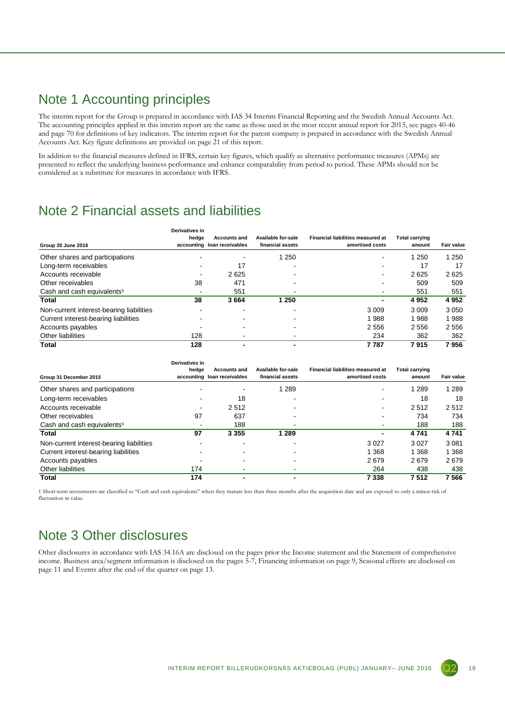### Note 1 Accounting principles

The interim report for the Group is prepared in accordance with IAS 34 Interim Financial Reporting and the Swedish Annual Accounts Act. The accounting principles applied in this interim report are the same as those used in the most recent annual report for 2015, see pages 40-46 and page 70 for definitions of key indicators. The interim report for the parent company is prepared in accordance with the Swedish Annual Accounts Act. Key figure definitions are provided on page 21 of this report.

In addition to the financial measures defined in IFRS, certain key figures, which qualify as alternative performance measures (APMs) are presented to reflect the underlying business performance and enhance comparability from period to period. These APMs should not be considered as a substitute for measures in accordance with IFRS.

### Note 2 Financial assets and liabilities

| Group 30 June 2016                       | Derivatives in<br>hedge  | <b>Accounts and</b><br>accounting loan receivables | Available for-sale<br>financial assets | <b>Financial liabilities measured at</b><br>amortised costs | <b>Total carrying</b><br>amount | Fair value |
|------------------------------------------|--------------------------|----------------------------------------------------|----------------------------------------|-------------------------------------------------------------|---------------------------------|------------|
| Other shares and participations          |                          |                                                    | 1 2 5 0                                |                                                             | 1 2 5 0                         | 1 2 5 0    |
| Long-term receivables                    |                          | 17                                                 |                                        |                                                             | 17                              | 17         |
| Accounts receivable                      | $\overline{\phantom{a}}$ | 2625                                               |                                        | $\overline{\phantom{a}}$                                    | 2625                            | 2625       |
| Other receivables                        | 38                       | 471                                                |                                        |                                                             | 509                             | 509        |
| Cash and cash equivalents <sup>1</sup>   | $\,$                     | 551                                                |                                        |                                                             | 551                             | 551        |
| Total                                    | 38                       | 3664                                               | 1 250                                  |                                                             | 4952                            | 4952       |
| Non-current interest-bearing liabilities |                          |                                                    |                                        | 3 0 0 9                                                     | 3 0 0 9                         | 3 0 5 0    |
| Current interest-bearing liabilities     |                          |                                                    |                                        | 988                                                         | 1988                            | 1988       |
| Accounts payables                        |                          |                                                    |                                        | 2 5 5 6                                                     | 2556                            | 2 5 5 6    |
| Other liabilities                        | 128                      |                                                    |                                        | 234                                                         | 362                             | 362        |
| <b>Total</b>                             | 128                      |                                                    |                                        | 7787                                                        | 7915                            | 7956       |

|                                          | Derivatives in |                             |                                        |                                                      |                |            |
|------------------------------------------|----------------|-----------------------------|----------------------------------------|------------------------------------------------------|----------------|------------|
|                                          | hedge          | <b>Accounts and</b>         | Available for-sale<br>financial assets | Financial liabilities measured at<br>amortised costs | Total carrving | Fair value |
| Group 31 December 2015                   |                | accounting loan receivables |                                        |                                                      | amount         |            |
| Other shares and participations          |                |                             | 1 2 8 9                                |                                                      | 1 2 8 9        | 1 2 8 9    |
| Long-term receivables                    |                | 18                          |                                        |                                                      | 18             | 18         |
| Accounts receivable                      | ۰              | 2512                        |                                        | ۰                                                    | 2512           | 2512       |
| Other receivables                        | 97             | 637                         |                                        |                                                      | 734            | 734        |
| Cash and cash equivalents <sup>1</sup>   |                | 188                         |                                        |                                                      | 188            | 188        |
| Total                                    | 97             | 3 3 5 5                     | 1 289                                  | -                                                    | 4741           | 4741       |
| Non-current interest-bearing liabilities |                |                             |                                        | 3 0 2 7                                              | 3 0 2 7        | 3 0 8 1    |
| Current interest-bearing liabilities     |                |                             |                                        | 368                                                  | 1 3 6 8        | 1 3 6 8    |
| Accounts payables                        |                |                             |                                        | 2679                                                 | 2679           | 2679       |
| Other liabilities                        | 174            |                             |                                        | 264                                                  | 438            | 438        |
| Total                                    | 174            |                             |                                        | 7 3 3 8                                              | 7512           | 7566       |

1 Short-term investments are classified as "Cash and cash equivalents" when they mature less than three months after the acquisition date and are exposed to only a minor risk of fluctuation in value.

### Note 3 Other disclosures

Other disclosures in accordance with IAS 34.16A are disclosed on the pages prior the Income statement and the Statement of comprehensive income. Business area/segment information is disclosed on the pages 5-7, Financing information on page 9, Seasonal effects are disclosed on page 11 and Events after the end of the quarter on page 13.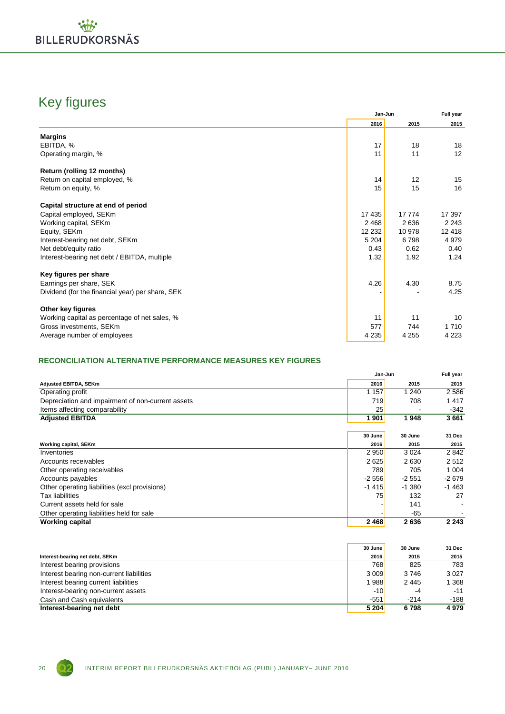

### Key figures

|                                                  | 2016    | 2015    | 2015    |
|--------------------------------------------------|---------|---------|---------|
| <b>Margins</b>                                   |         |         |         |
| EBITDA, %                                        | 17      | 18      | 18      |
| Operating margin, %                              | 11      | 11      | 12      |
| Return (rolling 12 months)                       |         |         |         |
| Return on capital employed, %                    | 14      | 12      | 15      |
| Return on equity, %                              | 15      | 15      | 16      |
| Capital structure at end of period               |         |         |         |
| Capital employed, SEKm                           | 17 435  | 17 774  | 17 397  |
| Working capital, SEKm                            | 2 4 6 8 | 2636    | 2 2 4 3 |
| Equity, SEKm                                     | 12 232  | 10 978  | 12 4 18 |
| Interest-bearing net debt, SEKm                  | 5 2 0 4 | 6798    | 4 9 7 9 |
| Net debt/equity ratio                            | 0.43    | 0.62    | 0.40    |
| Interest-bearing net debt / EBITDA, multiple     | 1.32    | 1.92    | 1.24    |
| Key figures per share                            |         |         |         |
| Earnings per share, SEK                          | 4.26    | 4.30    | 8.75    |
| Dividend (for the financial year) per share, SEK |         |         | 4.25    |
| Other key figures                                |         |         |         |
| Working capital as percentage of net sales, %    | 11      | 11      | 10      |
| Gross investments, SEKm                          | 577     | 744     | 1710    |
| Average number of employees                      | 4 2 3 5 | 4 2 5 5 | 4 2 2 3 |

### **RECONCILIATION ALTERNATIVE PERFORMANCE MEASURES KEY FIGURES**

|                                                   | Jan-Jun |          |         |  |
|---------------------------------------------------|---------|----------|---------|--|
| Adjusted EBITDA, SEKm                             | 2016    | 2015     | 2015    |  |
| Operating profit                                  | 1 1 5 7 | 1 240    | 2586    |  |
| Depreciation and impairment of non-current assets | 719     | 708      | 1417    |  |
| Items affecting comparability                     | 25      |          | $-342$  |  |
| <b>Adjusted EBITDA</b>                            | 1 901   | 1948     | 3661    |  |
|                                                   |         |          |         |  |
|                                                   | 30 June | 30 June  | 31 Dec  |  |
| <b>Working capital, SEKm</b>                      | 2016    | 2015     | 2015    |  |
| Inventories                                       | 2 9 5 0 | 3 0 2 4  | 2842    |  |
| Accounts receivables                              | 2625    | 2630     | 2512    |  |
| Other operating receivables                       | 789     | 705      | 1 0 0 4 |  |
| Accounts payables                                 | $-2556$ | $-2551$  | $-2679$ |  |
| Other operating liabilities (excl provisions)     | $-1415$ | $-1.380$ | $-1463$ |  |
| <b>Tax liabilities</b>                            | 75      | 132      | 27      |  |
| Current assets held for sale                      |         | 141      |         |  |
| Other operating liabilities held for sale         |         | -65      |         |  |
| <b>Working capital</b>                            | 2468    | 2636     | 2 2 4 3 |  |

|                                          | 30 June              | 30 June | 31 Dec  |
|------------------------------------------|----------------------|---------|---------|
| Interest-bearing net debt, SEKm          | 2016                 | 2015    | 2015    |
| Interest bearing provisions              | 768                  | 825     | 783     |
| Interest bearing non-current liabilities | 3 009                | 3746    | 3027    |
| Interest bearing current liabilities     | 1 988 <mark>l</mark> | 2445    | 1 3 6 8 |
| Interest-bearing non-current assets      | $-10$                | -4      | $-11$   |
| Cash and Cash equivalents                | $-551$               | $-214$  | $-188$  |
| Interest-bearing net debt                | 5 204                | 6798    | 4979    |

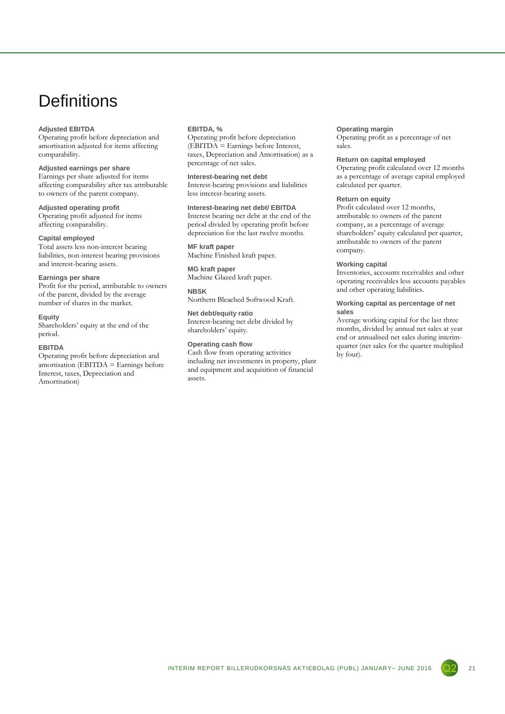# **Definitions**

#### **Adjusted EBITDA**

Operating profit before depreciation and amortisation adjusted for items affecting comparability.

### **Adjusted earnings per share**

Earnings per share adjusted for items affecting comparability after tax attributable to owners of the parent company.

### **Adjusted operating profit**

Operating profit adjusted for items affecting comparability.

#### **Capital employed**

Total assets less non-interest bearing liabilities, non-interest bearing provisions and interest-bearing assets.

#### **Earnings per share**

Profit for the period, attributable to owners of the parent, divided by the average number of shares in the market.

#### **Equity**

Shareholders' equity at the end of the period.

#### **EBITDA**

Operating profit before depreciation and  $amortisation$  (EBITDA = Earnings before Interest, taxes, Depreciation and Amortisation)

#### **EBITDA, %**

Operating profit before depreciation (EBITDA = Earnings before Interest, taxes, Depreciation and Amortisation) as a percentage of net sales.

#### **Interest-bearing net debt**

Interest-bearing provisions and liabilities less interest-bearing assets.

### **Interest-bearing net debt/ EBITDA**

Interest bearing net debt at the end of the period divided by operating profit before depreciation for the last twelve months.

#### **MF kraft paper**

Machine Finished kraft paper.

#### **MG kraft paper** Machine Glazed kraft paper.

**NBSK**

Northern Bleached Softwood Kraft.

### **Net debt/equity ratio**

Interest-bearing net debt divided by shareholders' equity.

#### **Operating cash flow**

Cash flow from operating activities including net investments in property, plant and equipment and acquisition of financial assets.

#### **Operating margin**

Operating profit as a percentage of net sales.

#### **Return on capital employed**

Operating profit calculated over 12 months as a percentage of average capital employed calculated per quarter.

### **Return on equity**

Profit calculated over 12 months, attributable to owners of the parent company, as a percentage of average shareholders' equity calculated per quarter, attributable to owners of the parent company.

#### **Working capital**

Inventories, accounts receivables and other operating receivables less accounts payables and other operating liabilities.

#### **Working capital as percentage of net sales**

Average working capital for the last three months, divided by annual net sales at year end or annualised net sales during interimquarter (net sales for the quarter multiplied by four).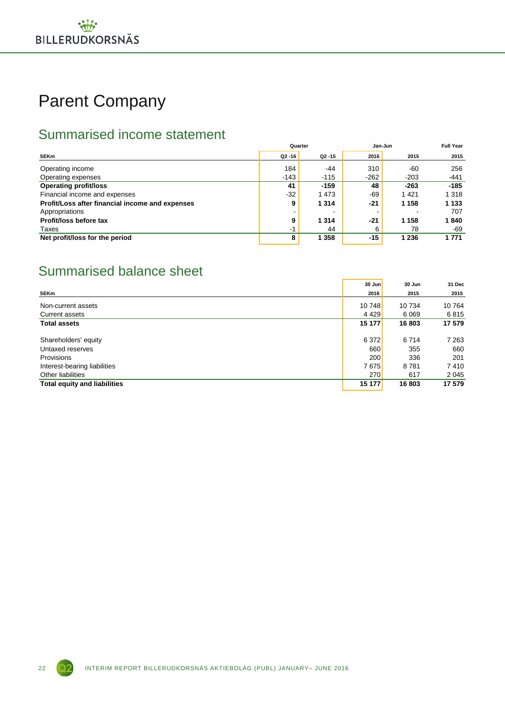# Parent Company

## Summarised income statement

|                                                 | Quarter   |           | Jan-Jun | <b>Full Year</b> |         |
|-------------------------------------------------|-----------|-----------|---------|------------------|---------|
| <b>SEKm</b>                                     | $Q2 - 16$ | $Q2 - 15$ | 2016    | 2015             | 2015    |
| Operating income                                | 184       | $-44$     | 310     | -60              | 256     |
| Operating expenses                              | $-143$    | $-115$    | $-262$  | $-203$           | $-441$  |
| <b>Operating profit/loss</b>                    | 41        | $-159$    | 48      | $-263$           | $-185$  |
| Financial income and expenses                   | $-32$     | 1 4 7 3   | $-69$   | 1 4 2 1          | 1 3 1 8 |
| Profit/Loss after financial income and expenses | 9         | 1 3 1 4   | -21     | 1 1 5 8          | 1 1 3 3 |
| Appropriations                                  |           |           |         |                  | 707     |
| Profit/loss before tax                          | 9         | 1 3 1 4   | -21     | 1 1 5 8          | 1840    |
| Taxes                                           | $-1$      | 44        | 6       | 78               | -69     |
| Net profit/loss for the period                  | 8         | 1 3 5 8   | $-15$   | 1 2 3 6          | 1 771   |

### Summarised balance sheet

|                                     | 30 Jun     | 30 Jun  | 31 Dec  |
|-------------------------------------|------------|---------|---------|
| <b>SEKm</b>                         | 2016       | 2015    | 2015    |
| Non-current assets                  | 10 748     | 10 734  | 10 764  |
| <b>Current assets</b>               | 4429       | 6 0 6 9 | 6815    |
| <b>Total assets</b>                 | 15 177     | 16 803  | 17 579  |
| Shareholders' equity                | 6 3 7 2    | 6714    | 7 263   |
| Untaxed reserves                    | 660        | 355     | 660     |
| <b>Provisions</b>                   | <b>200</b> | 336     | 201     |
| Interest-bearing liabilities        | 7675       | 8781    | 7410    |
| Other liabilities                   | <b>270</b> | 617     | 2 0 4 5 |
| <b>Total equity and liabilities</b> | 15 177     | 16 803  | 17 579  |

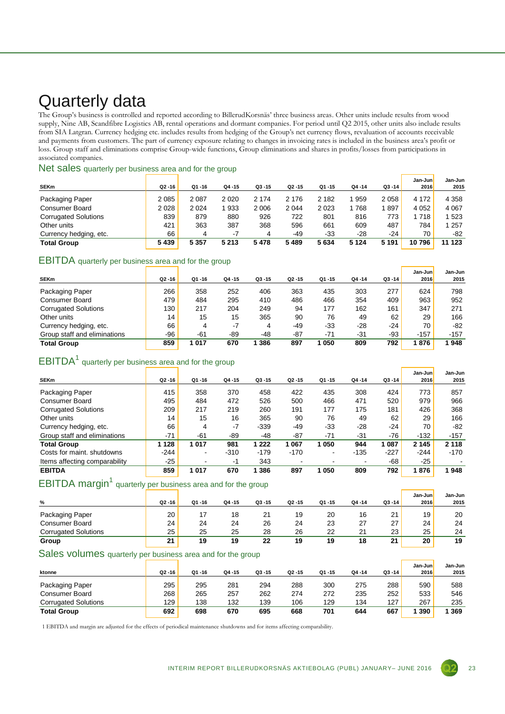# Quarterly data

The Group's business is controlled and reported according to BillerudKorsnäs' three business areas. Other units include results from wood supply, Nine AB, Scandfibre Logistics AB, rental operations and dormant companies. For period until Q2 2015, other units also include results from SIA Latgran. Currency hedging etc. includes results from hedging of the Group's net currency flows, revaluation of accounts receivable and payments from customers. The part of currency exposure relating to changes in invoicing rates is included in the business area's profit or loss. Group staff and eliminations comprise Group-wide functions, Group eliminations and shares in profits/losses from participations in associated companies.

### Net sales quarterly per business area and for the group

|                             |           |         |         |           |           |         |           |         | Jan-Juni    | Jan-Jun |
|-----------------------------|-----------|---------|---------|-----------|-----------|---------|-----------|---------|-------------|---------|
| <b>SEKm</b>                 | $Q2 - 16$ | Q1-16   | Q4 - 15 | $Q3 - 15$ | $Q2 - 15$ | Q1-15   | $Q4 - 14$ | Q3 -14  | <b>2016</b> | 2015    |
| Packaging Paper             | 2 0 8 5   | 2087    | 2 0 2 0 | 2 174     | 2 176     | 2 1 8 2 | 959       | 2 0 5 8 | 4 172       | 4 3 5 8 |
| <b>Consumer Board</b>       | 2 0 2 8   | 2024    | 933     | 2006      | 2 0 4 4   | 2023    | 768       | 897     | 4 0 5 2     | 4 0 6 7 |
| <b>Corrugated Solutions</b> | 839       | 879     | 880     | 926       | 722       | 801     | 816       | 773     | 718         | 1 5 2 3 |
| Other units                 | 421       | 363     | 387     | 368       | 596       | 661     | 609       | 487     | 784         | 1 257   |
| Currency hedging, etc.      | 66        | 4       | $-7$    | 4         | -49       | $-33$   | $-28$     | -24     | 70          | -82     |
| <b>Total Group</b>          | 5439      | 5 3 5 7 | 5 2 1 3 | 5478      | 5489      | 5634    | 5 1 2 4   | 5 1 9 1 | 10796       | 11 123  |

### EBITDA quarterly per business area and for the group

|                              |           |       |           |           |           |           |           |           | Jan-Juni | Jan-Jun |
|------------------------------|-----------|-------|-----------|-----------|-----------|-----------|-----------|-----------|----------|---------|
| <b>SEKm</b>                  | $Q2 - 16$ | Q1-16 | $Q4 - 15$ | $Q3 - 15$ | $Q2 - 15$ | $Q1 - 15$ | $Q4 - 14$ | $Q3 - 14$ | 2016     | 2015    |
| Packaging Paper              | 266       | 358   | 252       | 406       | 363       | 435       | 303       | 277       | 624      | 798     |
| <b>Consumer Board</b>        | 479       | 484   | 295       | 410       | 486       | 466       | 354       | 409       | 963      | 952     |
| <b>Corrugated Solutions</b>  | 130       | 217   | 204       | 249       | 94        | 177       | 162       | 161       | 347      | 271     |
| Other units                  | 14        | 15    | 15        | 365       | 90        | 76        | 49        | 62        | 29       | 166     |
| Currency hedging, etc.       | 66        | 4     | $-7$      | 4         | $-49$     | $-33$     | $-28$     | $-24$     | 70       | $-82$   |
| Group staff and eliminations | -96       | $-61$ | -89       | $-48$     | $-87$     | $-71$     | $-31$     | -93       | $-157$   | $-157$  |
| <b>Total Group</b>           | 859       | 1017  | 670       | 386       | 897       | 1050      | 809       | 792       | 1876     | 948     |

### $EBITDA<sup>1</sup>$  quarterly per business area and for the group

| <b>SEKm</b>                   | $Q2 - 16$ | $Q1 - 16$ | $Q4 - 15$ | $Q3 - 15$ | $Q2 - 15$ | $Q1 - 15$ | $Q4 - 14$ | $Q3 - 14$ | Jan-Jun<br>2016 | Jan-Jun<br>2015 |
|-------------------------------|-----------|-----------|-----------|-----------|-----------|-----------|-----------|-----------|-----------------|-----------------|
|                               |           |           |           |           |           |           |           |           |                 |                 |
| Packaging Paper               | 415       | 358       | 370       | 458       | 422       | 435       | 308       | 424       | 773             | 857             |
| Consumer Board                | 495       | 484       | 472       | 526       | 500       | 466       | 471       | 520       | 979             | 966             |
| <b>Corrugated Solutions</b>   | 209       | 217       | 219       | 260       | 191       | 177       | 175       | 181       | 426             | 368             |
| Other units                   | 14        | 15        | 16        | 365       | 90        | 76        | 49        | 62        | 29              | 166             |
| Currency hedging, etc.        | 66        | 4         | $-7$      | $-339$    | $-49$     | $-33$     | $-28$     | $-24$     | 70              | $-82$           |
| Group staff and eliminations  | $-71$     | $-61$     | -89       | -48       | $-87$     | $-71$     | $-31$     | -76       | $-132$          | $-157$          |
| <b>Total Group</b>            | 1 1 2 8   | 1017      | 981       | 1 2 2 2   | 067       | 1050      | 944       | 1 0 8 7   | 2 1 4 5         | 2 1 1 8         |
| Costs for maint, shutdowns    | $-244$    | ۰         | $-310$    | $-179$    | $-170$    | ۰         | $-135$    | $-227$    | $-244$          | $-170$          |
| Items affecting comparability | $-25$     |           | $-1$      | 343       |           | -         |           | -68       | -25             |                 |
| <b>EBITDA</b>                 | 859       | 1017      | 670       | 1 386     | 897       | 1050      | 809       | 792       | 1876            | 948             |

### EBITDA margin<sup>1</sup> quarterly per business area and for the group

| %                           | $Q2 - 16$ | $Q1 - 16$ | Q4-15 | $Q3 - 15$ | $Q2 - 15$ | Q1-15 | $Q4 - 14$               | $Q3 - 14$ | Jan-Juni<br>2016 | Jan-Jun<br>2015 |
|-----------------------------|-----------|-----------|-------|-----------|-----------|-------|-------------------------|-----------|------------------|-----------------|
| Packaging Paper             | 20        |           | 18    | 21        | 19        | 20    | 16                      | 21        | 19               | 20              |
| <b>Consumer Board</b>       | 24        | 24        | 24    | 26        | 24        | 23    | $\sim$<br>$\mathcal{L}$ | 27        | 24               | 24              |
| <b>Corrugated Solutions</b> | 25        | 25        | 25    | 28        | 26        | 22    | 2 <sup>1</sup>          | 23        | 25               | 24              |
| Group                       | 21        | 19        | 19    | 22        | 19        | 19    | 18                      | 21        | 20               | 19              |

### Sales volumes quarterly per business area and for the group

| ktonne                      | $Q2 - 16$        | $Q1 - 16$ | Q4 -15 | $Q3 - 15$ | $Q2 - 15$ | $Q1 - 15$ | $Q4 - 14$ | $Q3 - 14$ | Jan-Juni<br><b>2016</b> | Jan-Jun<br>2015 |
|-----------------------------|------------------|-----------|--------|-----------|-----------|-----------|-----------|-----------|-------------------------|-----------------|
| Packaging Paper             | 295              | 295       | 281    | 294       | 288       | 300       | 275       | 288       | 590                     | 588             |
| <b>Consumer Board</b>       | 268              | 265       | 257    | 262       | 274       | 272       | 235       | 252       | 533                     | 546             |
| <b>Corrugated Solutions</b> | 129 <sub>1</sub> | 138       | 132    | 139       | 106       | 129       | 134       | 127       | 267                     | 235             |
| <b>Total Group</b>          | 692              | 698       | 670    | 695       | 668       | 701       | 644       | 667       | 390                     | 369             |

1 EBITDA and margin are adjusted for the effects of periodical maintenance shutdowns and for items affecting comparability.